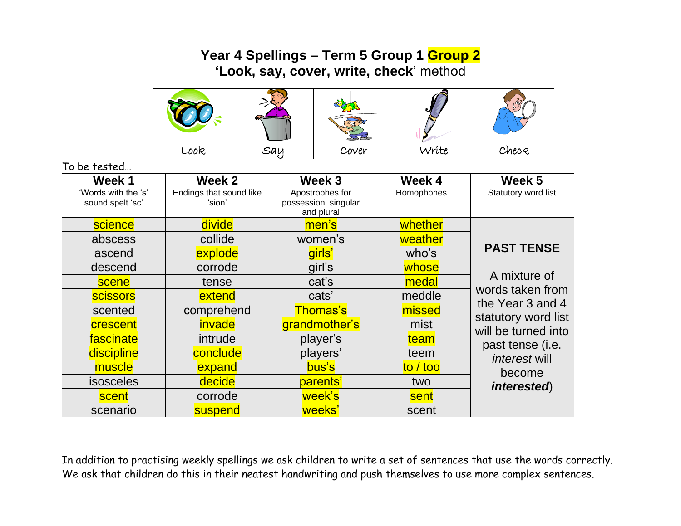## **Year 4 Spellings – Term 5 Group 1 Group 2 'Look, say, cover, write, check**' method



To be tested…

| Week 1<br>'Words with the 's'<br>sound spelt 'sc' | Week 2<br>Endings that sound like<br>'sion' | Week 3<br>Apostrophes for<br>possession, singular<br>and plural | Week 4<br>Homophones | Week 5<br>Statutory word list                                                                                                                                                                        |
|---------------------------------------------------|---------------------------------------------|-----------------------------------------------------------------|----------------------|------------------------------------------------------------------------------------------------------------------------------------------------------------------------------------------------------|
| science                                           | divide                                      | men's                                                           | whether              | <b>PAST TENSE</b><br>A mixture of<br>words taken from<br>the Year 3 and 4<br>statutory word list<br>will be turned into<br>past tense (i.e.<br><i>interest</i> will<br>become<br><i>interested</i> ) |
| abscess                                           | collide                                     | women's                                                         | weather              |                                                                                                                                                                                                      |
| ascend                                            | explode                                     | girls'                                                          | who's                |                                                                                                                                                                                                      |
| descend                                           | corrode                                     | girl's                                                          | whose                |                                                                                                                                                                                                      |
| scene                                             | tense                                       | cat's                                                           | medal                |                                                                                                                                                                                                      |
| <b>scissors</b>                                   | extend                                      | cats'                                                           | meddle               |                                                                                                                                                                                                      |
| scented                                           | comprehend                                  | <b>Thomas's</b>                                                 | missed               |                                                                                                                                                                                                      |
| crescent                                          | invade                                      | grandmother's                                                   | mist                 |                                                                                                                                                                                                      |
| fascinate                                         | intrude                                     | player's                                                        | team                 |                                                                                                                                                                                                      |
| discipline                                        | conclude                                    | players'                                                        | teem                 |                                                                                                                                                                                                      |
| muscle                                            | expand                                      | bus's                                                           | to / too             |                                                                                                                                                                                                      |
| isosceles                                         | decide                                      | parents'                                                        | two                  |                                                                                                                                                                                                      |
| scent                                             | corrode                                     | week's                                                          | sent                 |                                                                                                                                                                                                      |
| scenario                                          | suspend                                     | weeks'                                                          | scent                |                                                                                                                                                                                                      |

In addition to practising weekly spellings we ask children to write a set of sentences that use the words correctly. We ask that children do this in their neatest handwriting and push themselves to use more complex sentences.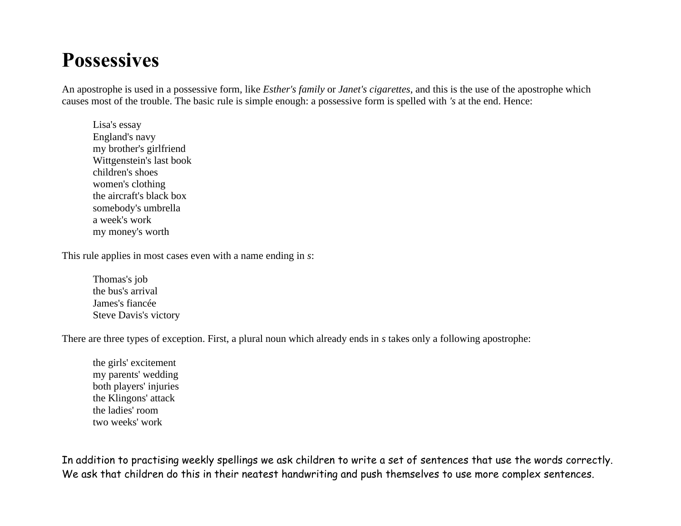## **Possessives**

An apostrophe is used in a possessive form, like *Esther's family* or *Janet's cigarettes*, and this is the use of the apostrophe which causes most of the trouble. The basic rule is simple enough: a possessive form is spelled with *'s* at the end. Hence:

Lisa's essay England's navy my brother's girlfriend Wittgenstein's last book children's shoes women's clothing the aircraft's black box somebody's umbrella a week's work my money's worth

This rule applies in most cases even with a name ending in *s*:

Thomas's job the bus's arrival James's fiancée Steve Davis's victory

There are three types of exception. First, a plural noun which already ends in *s* takes only a following apostrophe:

the girls' excitement my parents' wedding both players' injuries the Klingons' attack the ladies' room two weeks' work

In addition to practising weekly spellings we ask children to write a set of sentences that use the words correctly. We ask that children do this in their neatest handwriting and push themselves to use more complex sentences.